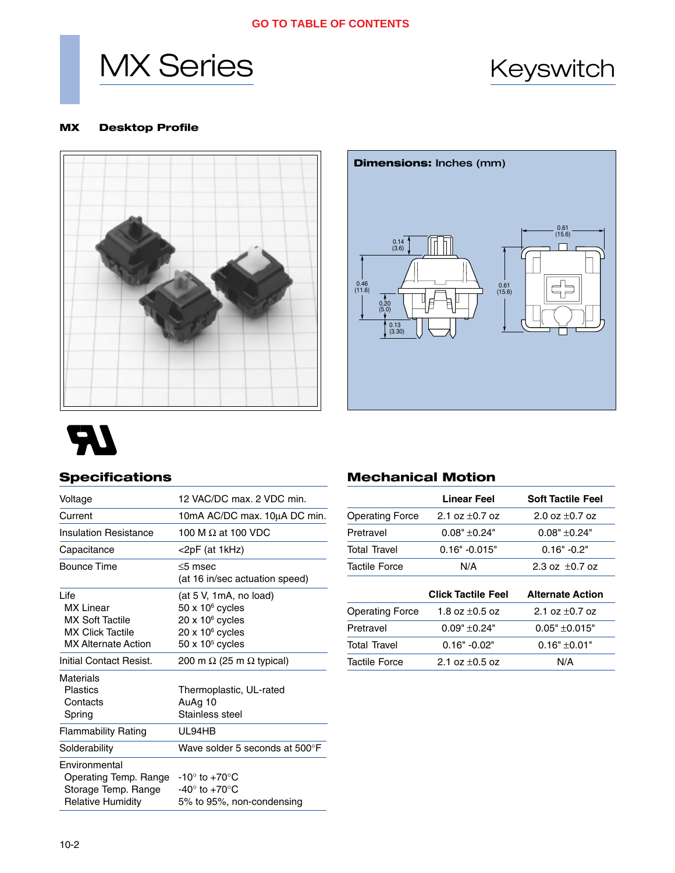#### **GO TO TABLE OF CONTENTS**





#### **MX Desktop Profile**





# **RA**

# **Specifications**

| Voltage                                                                                              | 12 VAC/DC max, 2 VDC min.                                                                                                          |  |  |
|------------------------------------------------------------------------------------------------------|------------------------------------------------------------------------------------------------------------------------------------|--|--|
| Current                                                                                              | 10mA AC/DC max. 10µA DC min.                                                                                                       |  |  |
| <b>Insulation Resistance</b>                                                                         | 100 M $\Omega$ at 100 VDC                                                                                                          |  |  |
| Capacitance                                                                                          | <2pF (at 1kHz)                                                                                                                     |  |  |
| Bounce Time                                                                                          | $<$ 5 msec<br>(at 16 in/sec actuation speed)                                                                                       |  |  |
| Life<br><b>MX</b> Linear<br>MX Soft Tactile<br><b>MX Click Tactile</b><br><b>MX Alternate Action</b> | (at 5 V, 1mA, no load)<br>$50 \times 10^6$ cycles<br>$20 \times 10^6$ cycles<br>$20 \times 10^6$ cycles<br>$50 \times 10^5$ cycles |  |  |
| Initial Contact Resist.                                                                              | 200 m $\Omega$ (25 m $\Omega$ typical)                                                                                             |  |  |
| Materials<br><b>Plastics</b><br>Contacts<br>Spring                                                   | Thermoplastic, UL-rated<br>AuAg 10<br>Stainless steel                                                                              |  |  |
| <b>Flammability Rating</b>                                                                           | UL94HB                                                                                                                             |  |  |
| Solderability                                                                                        | Wave solder 5 seconds at 500°F                                                                                                     |  |  |
| Environmental<br>Operating Temp. Range<br>Storage Temp. Range<br><b>Relative Humidity</b>            | $-10^\circ$ to $+70^\circ$ C<br>-40 $^{\circ}$ to +70 $^{\circ}$ C<br>5% to 95%, non-condensing                                    |  |  |

# **Mechanical Motion**

|                        | <b>Linear Feel</b>         | <b>Soft Tactile Feel</b> |  |
|------------------------|----------------------------|--------------------------|--|
| <b>Operating Force</b> | 2.1 oz $\pm$ 0.7 oz        | 2.0 oz $\pm$ 0.7 oz      |  |
| Pretravel              | $0.08" + 0.24"$            | $0.08" + 0.24"$          |  |
| <b>Total Travel</b>    | $0.16" -0.015"$            | $0.16" -0.2"$            |  |
| Tactile Force          | N/A                        | 2.3 oz $\pm$ 0.7 oz      |  |
|                        | <b>Click Tactile Feel</b>  | <b>Alternate Action</b>  |  |
| <b>Operating Force</b> | 1.8 oz $\pm$ 0.5 oz        | 2.1 oz $\pm$ 0.7 oz      |  |
| Pretravel              | $0.09" + 0.24"$            | $0.05" + 0.015"$         |  |
| <b>Total Travel</b>    | $0.16" -0.02"$             | $0.16" + 0.01"$          |  |
| <b>Tactile Force</b>   | N/A<br>2.1 oz $\pm$ 0.5 oz |                          |  |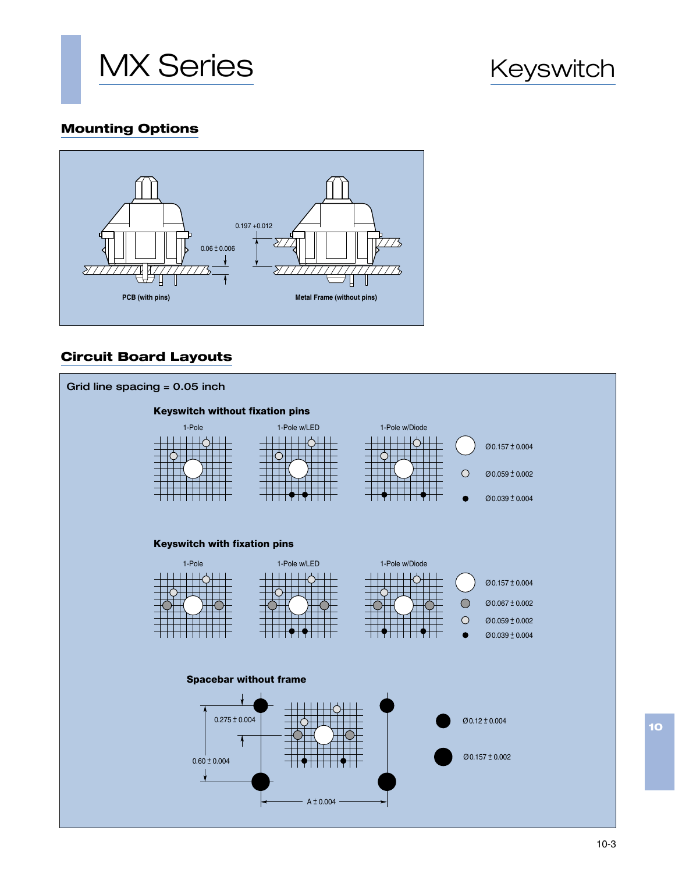

# **Mounting Options**



# **Circuit Board Layouts**



**10**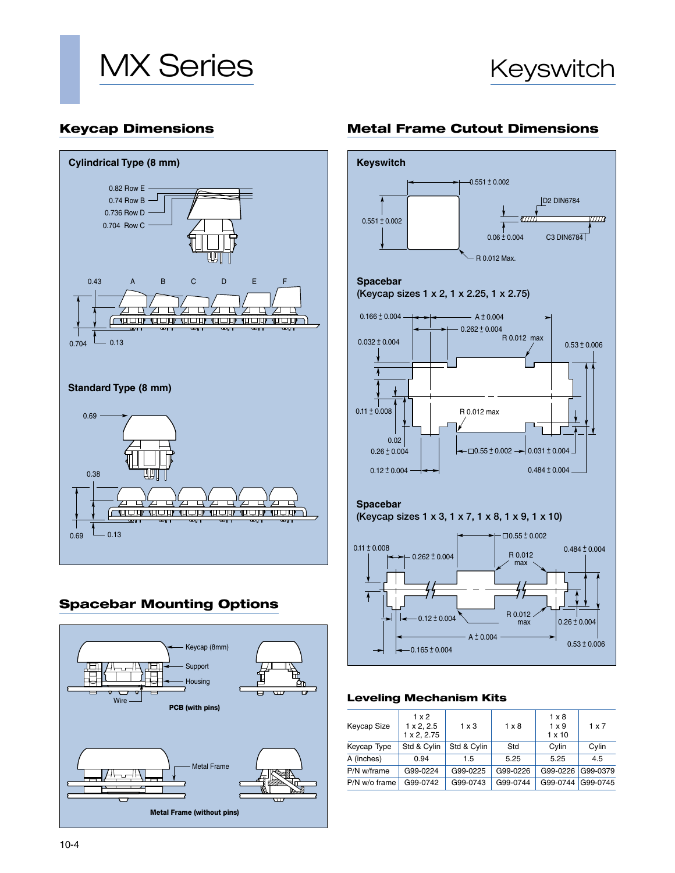



### **Keycap Dimensions**



# **Spacebar Mounting Options**



# **Metal Frame Cutout Dimensions**



#### **Leveling Mechanism Kits**

| Keycap Size   | $1 \times 2$<br>$1 \times 2, 2.5$<br>1 x 2, 2.75 | $1 \times 3$ | $1 \times 8$ | $1 \times 8$<br>$1 \times 9$<br>$1 \times 10$ | $1 \times 7$ |
|---------------|--------------------------------------------------|--------------|--------------|-----------------------------------------------|--------------|
| Keycap Type   | Std & Cylin                                      | Std & Cylin  | Std          | Cylin                                         | Cylin        |
| A (inches)    | 0.94                                             | 1.5          | 5.25         | 5.25                                          | 4.5          |
| P/N w/frame   | G99-0224                                         | G99-0225     | G99-0226     | G99-0226                                      | G99-0379     |
| P/N w/o frame | G99-0742                                         | G99-0743     | G99-0744     | G99-0744                                      | G99-0745     |